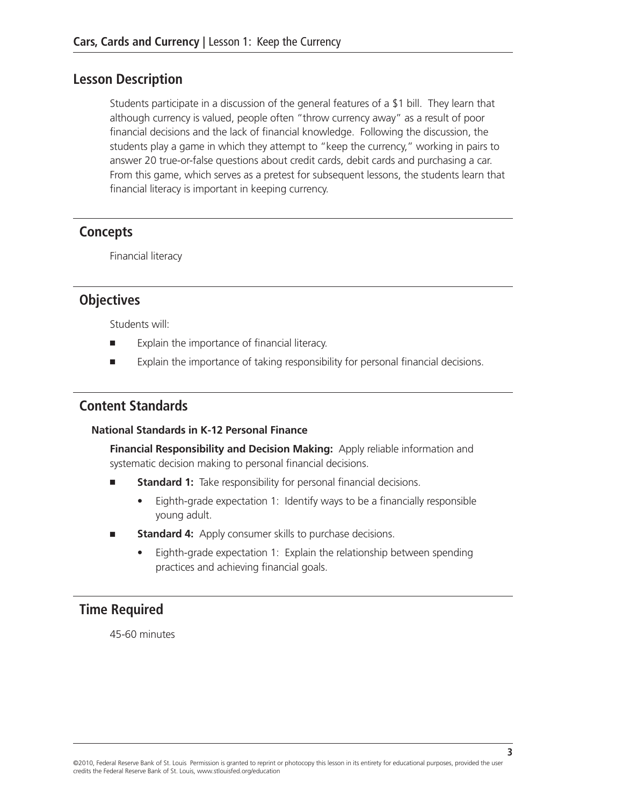#### **Lesson Description**

Students participate in a discussion of the general features of a \$1 bill. They learn that although currency is valued, people often "throw currency away" as a result of poor financial decisions and the lack of financial knowledge. Following the discussion, the students play a game in which they attempt to "keep the currency," working in pairs to answer 20 true-or-false questions about credit cards, debit cards and purchasing a car. From this game, which serves as a pretest for subsequent lessons, the students learn that financial literacy is important in keeping currency.

### **Concepts**

Financial literacy

#### **Objectives**

Students will:

- Explain the importance of financial literacy.
- Explain the importance of taking responsibility for personal financial decisions.

### **Content Standards**

#### **National Standards in K-12 Personal Finance**

**Financial Responsibility and Decision Making:** Apply reliable information and systematic decision making to personal financial decisions.

- **Standard 1:** Take responsibility for personal financial decisions.
	- Eighth-grade expectation 1: Identify ways to be a financially responsible young adult.
- **Standard 4:** Apply consumer skills to purchase decisions.
	- Eighth-grade expectation 1: Explain the relationship between spending practices and achieving financial goals.

## **Time Required**

45-60 minutes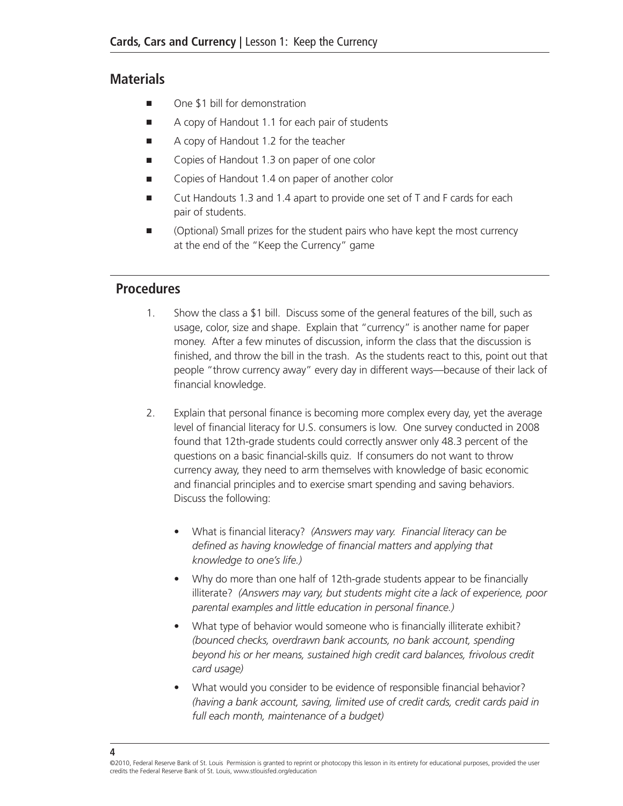### **Materials**

- One \$1 bill for demonstration
- A copy of Handout 1.1 for each pair of students
- A copy of Handout 1.2 for the teacher
- Copies of Handout 1.3 on paper of one color
- Copies of Handout 1.4 on paper of another color
- Cut Handouts 1.3 and 1.4 apart to provide one set of T and F cards for each pair of students.
- (Optional) Small prizes for the student pairs who have kept the most currency at the end of the "Keep the Currency" game

## **Procedures**

- 1. Show the class a \$1 bill. Discuss some of the general features of the bill, such as usage, color, size and shape. Explain that "currency" is another name for paper money. After a few minutes of discussion, inform the class that the discussion is finished, and throw the bill in the trash. As the students react to this, point out that people "throw currency away" every day in different ways—because of their lack of financial knowledge.
- 2. Explain that personal finance is becoming more complex every day, yet the average level of financial literacy for U.S. consumers is low. One survey conducted in 2008 found that 12th-grade students could correctly answer only 48.3 percent of the questions on a basic financial-skills quiz. If consumers do not want to throw currency away, they need to arm themselves with knowledge of basic economic and financial principles and to exercise smart spending and saving behaviors. Discuss the following:
	- • What is financial literacy? *(Answers may vary. Financial literacy can be defined as having knowledge of financial matters and applying that knowledge to one's life.)*
	- Why do more than one half of 12th-grade students appear to be financially illiterate? *(Answers may vary, but students might cite a lack of experience, poor parental examples and little education in personal finance.)*
	- What type of behavior would someone who is financially illiterate exhibit? *(bounced checks, overdrawn bank accounts, no bank account, spending beyond his or her means, sustained high credit card balances, frivolous credit card usage)*
	- What would you consider to be evidence of responsible financial behavior? *(having a bank account, saving, limited use of credit cards, credit cards paid in full each month, maintenance of a budget)*

<sup>©2010,</sup> Federal Reserve Bank of St. Louis Permission is granted to reprint or photocopy this lesson in its entirety for educational purposes, provided the user credits the Federal Reserve Bank of St. Louis, www.stlouisfed.org/education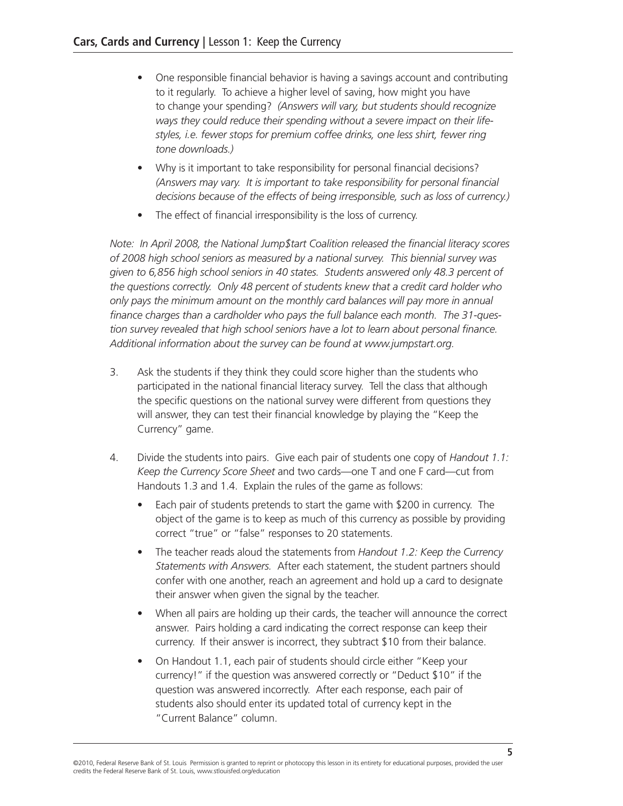- One responsible financial behavior is having a savings account and contributing to it regularly. To achieve a higher level of saving, how might you have to change your spending? *(Answers will vary, but students should recognize ways they could reduce their spending without a severe impact on their lifestyles, i.e. fewer stops for premium coffee drinks, one less shirt, fewer ring tone downloads.)*
- Why is it important to take responsibility for personal financial decisions? *(Answers may vary. It is important to take responsibility for personal financial decisions because of the effects of being irresponsible, such as loss of currency.)*
- The effect of financial irresponsibility is the loss of currency.

*Note: In April 2008, the National Jump\$tart Coalition released the financial literacy scores of 2008 high school seniors as measured by a national survey. This biennial survey was given to 6,856 high school seniors in 40 states. Students answered only 48.3 percent of the questions correctly. Only 48 percent of students knew that a credit card holder who only pays the minimum amount on the monthly card balances will pay more in annual finance charges than a cardholder who pays the full balance each month. The 31-question survey revealed that high school seniors have a lot to learn about personal finance. Additional information about the survey can be found at www.jumpstart.org.*

- 3. Ask the students if they think they could score higher than the students who participated in the national financial literacy survey. Tell the class that although the specific questions on the national survey were different from questions they will answer, they can test their financial knowledge by playing the "Keep the Currency" game.
- 4. Divide the students into pairs. Give each pair of students one copy of *Handout 1.1: Keep the Currency Score Sheet* and two cards—one T and one F card—cut from Handouts 1.3 and 1.4. Explain the rules of the game as follows:
	- Each pair of students pretends to start the game with \$200 in currency. The object of the game is to keep as much of this currency as possible by providing correct "true" or "false" responses to 20 statements.
	- • The teacher reads aloud the statements from *Handout 1.2: Keep the Currency Statements with Answers.* After each statement, the student partners should confer with one another, reach an agreement and hold up a card to designate their answer when given the signal by the teacher.
	- When all pairs are holding up their cards, the teacher will announce the correct answer. Pairs holding a card indicating the correct response can keep their currency. If their answer is incorrect, they subtract \$10 from their balance.
	- On Handout 1.1, each pair of students should circle either "Keep your currency!" if the question was answered correctly or "Deduct \$10" if the question was answered incorrectly. After each response, each pair of students also should enter its updated total of currency kept in the "Current Balance" column.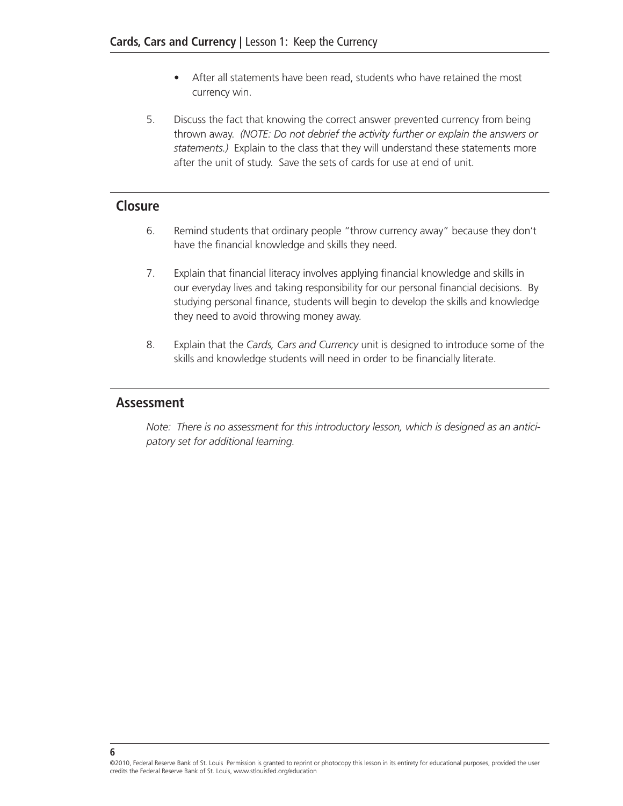- After all statements have been read, students who have retained the most currency win.
- 5. Discuss the fact that knowing the correct answer prevented currency from being thrown away. *(NOTE: Do not debrief the activity further or explain the answers or statements.)* Explain to the class that they will understand these statements more after the unit of study. Save the sets of cards for use at end of unit.

#### **Closure**

- 6. Remind students that ordinary people "throw currency away" because they don't have the financial knowledge and skills they need.
- 7. Explain that financial literacy involves applying financial knowledge and skills in our everyday lives and taking responsibility for our personal financial decisions. By studying personal finance, students will begin to develop the skills and knowledge they need to avoid throwing money away.
- 8. Explain that the *Cards, Cars and Currency* unit is designed to introduce some of the skills and knowledge students will need in order to be financially literate.

#### **Assessment**

*Note: There is no assessment for this introductory lesson, which is designed as an anticipatory set for additional learning.*

<sup>©2010,</sup> Federal Reserve Bank of St. Louis Permission is granted to reprint or photocopy this lesson in its entirety for educational purposes, provided the user credits the Federal Reserve Bank of St. Louis, www.stlouisfed.org/education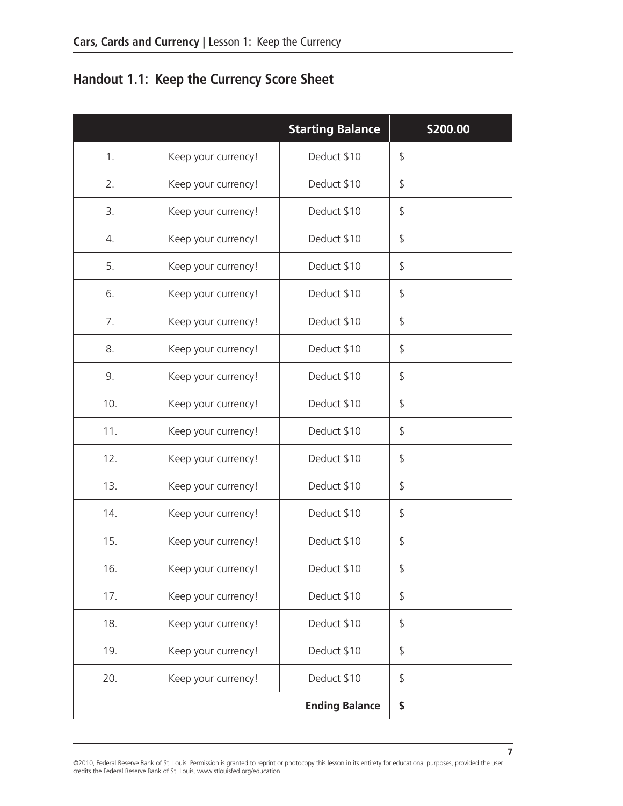# **Handout 1.1: Keep the Currency Score Sheet**

|     |                     | <b>Starting Balance</b> | \$200.00 |
|-----|---------------------|-------------------------|----------|
| 1.  | Keep your currency! | Deduct \$10             | \$       |
| 2.  | Keep your currency! | Deduct \$10             | \$       |
| 3.  | Keep your currency! | Deduct \$10             | \$       |
| 4.  | Keep your currency! | Deduct \$10             | \$       |
| 5.  | Keep your currency! | Deduct \$10             | \$       |
| 6.  | Keep your currency! | Deduct \$10             | \$       |
| 7.  | Keep your currency! | Deduct \$10             | \$       |
| 8.  | Keep your currency! | Deduct \$10             | \$       |
| 9.  | Keep your currency! | Deduct \$10             | \$       |
| 10. | Keep your currency! | Deduct \$10             | \$       |
| 11. | Keep your currency! | Deduct \$10             | \$       |
| 12. | Keep your currency! | Deduct \$10             | \$       |
| 13. | Keep your currency! | Deduct \$10             | \$       |
| 14. | Keep your currency! | Deduct \$10             | \$       |
| 15. | Keep your currency! | Deduct \$10             | \$       |
| 16. | Keep your currency! | Deduct \$10             | \$       |
| 17. | Keep your currency! | Deduct \$10             | \$       |
| 18. | Keep your currency! | Deduct \$10             | \$       |
| 19. | Keep your currency! | Deduct \$10             | \$       |
| 20. | Keep your currency! | Deduct \$10             | \$       |
|     |                     | <b>Ending Balance</b>   | \$       |

**7**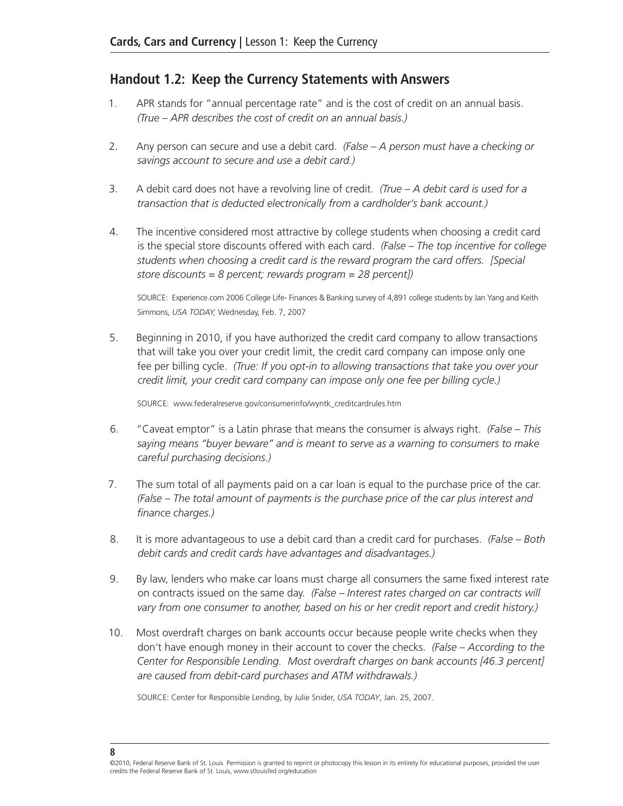#### **Handout 1.2: Keep the Currency Statements with Answers**

- 1. APR stands for "annual percentage rate" and is the cost of credit on an annual basis. *(True – APR describes the cost of credit on an annual basis.)*
- 2. Any person can secure and use a debit card. *(False A person must have a checking or savings account to secure and use a debit card.)*
- 3. A debit card does not have a revolving line of credit. *(True A debit card is used for a transaction that is deducted electronically from a cardholder's bank account.)*
- 4. The incentive considered most attractive by college students when choosing a credit card is the special store discounts offered with each card. *(False – The top incentive for college students when choosing a credit card is the reward program the card offers. [Special store discounts = 8 percent; rewards program = 28 percent])*

SOURCE: Experience.com 2006 College Life- Finances & Banking survey of 4,891 college students by Jan Yang and Keith Simmons, *USA TODAY,* Wednesday, Feb. 7, 2007

5. Beginning in 2010, if you have authorized the credit card company to allow transactions that will take you over your credit limit, the credit card company can impose only one fee per billing cycle. *(True: If you opt-in to allowing transactions that take you over your credit limit, your credit card company can impose only one fee per billing cycle.)*

Source: www.federalreserve.gov/consumerinfo/wyntk\_creditcardrules.htm

- 6. "Caveat emptor" is a Latin phrase that means the consumer is always right. *(False This saying means "buyer beware" and is meant to serve as a warning to consumers to make careful purchasing decisions.)*
- 7. The sum total of all payments paid on a car loan is equal to the purchase price of the car. *(False – The total amount of payments is the purchase price of the car plus interest and finance charges.)*
- 8. It is more advantageous to use a debit card than a credit card for purchases. *(False Both debit cards and credit cards have advantages and disadvantages.)*
- 9. By law, lenders who make car loans must charge all consumers the same fixed interest rate on contracts issued on the same day. *(False – Interest rates charged on car contracts will vary from one consumer to another, based on his or her credit report and credit history.)*
- 10. Most overdraft charges on bank accounts occur because people write checks when they don't have enough money in their account to cover the checks. *(False – According to the Center for Responsible Lending. Most overdraft charges on bank accounts [46.3 percent] are caused from debit-card purchases and ATM withdrawals.)*

SOURCE: Center for Responsible Lending, by Julie Snider, *USA TODAY*, Jan. 25, 2007.

<sup>©2010,</sup> Federal Reserve Bank of St. Louis Permission is granted to reprint or photocopy this lesson in its entirety for educational purposes, provided the user credits the Federal Reserve Bank of St. Louis, www.stlouisfed.org/education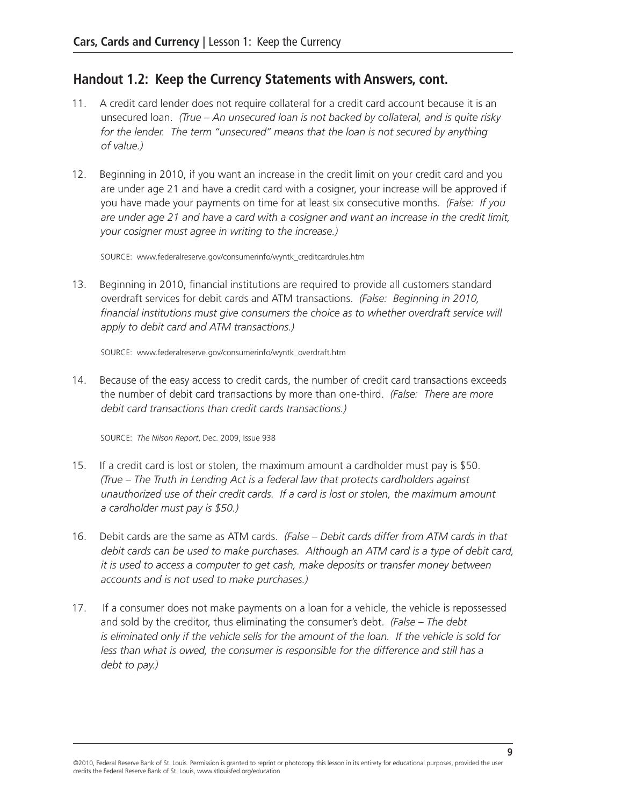# **Handout 1.2: Keep the Currency Statements with Answers, cont.**

- 11. A credit card lender does not require collateral for a credit card account because it is an unsecured loan. *(True – An unsecured loan is not backed by collateral, and is quite risky*  for the lender. The term "unsecured" means that the loan is not secured by anything *of value.)*
- 12. Beginning in 2010, if you want an increase in the credit limit on your credit card and you are under age 21 and have a credit card with a cosigner, your increase will be approved if you have made your payments on time for at least six consecutive months. *(False: If you are under age 21 and have a card with a cosigner and want an increase in the credit limit, your cosigner must agree in writing to the increase.)*

Source: www.federalreserve.gov/consumerinfo/wyntk\_creditcardrules.htm

13. Beginning in 2010, financial institutions are required to provide all customers standard overdraft services for debit cards and ATM transactions. *(False: Beginning in 2010,*  financial institutions must give consumers the choice as to whether overdraft service will *apply to debit card and ATM transactions.)*

Source: www.federalreserve.gov/consumerinfo/wyntk\_overdraft.htm

14. Because of the easy access to credit cards, the number of credit card transactions exceeds the number of debit card transactions by more than one-third. *(False: There are more debit card transactions than credit cards transactions.)*

Source: *The Nilson Report*, Dec. 2009, Issue 938

- 15. If a credit card is lost or stolen, the maximum amount a cardholder must pay is \$50. *(True – The Truth in Lending Act is a federal law that protects cardholders against unauthorized use of their credit cards. If a card is lost or stolen, the maximum amount a cardholder must pay is \$50.)*
- 16. Debit cards are the same as ATM cards. *(False Debit cards differ from ATM cards in that debit cards can be used to make purchases. Although an ATM card is a type of debit card, it is used to access a computer to get cash, make deposits or transfer money between accounts and is not used to make purchases.)*
- 17. If a consumer does not make payments on a loan for a vehicle, the vehicle is repossessed and sold by the creditor, thus eliminating the consumer's debt. *(False – The debt is eliminated only if the vehicle sells for the amount of the loan. If the vehicle is sold for less than what is owed, the consumer is responsible for the difference and still has a debt to pay.)*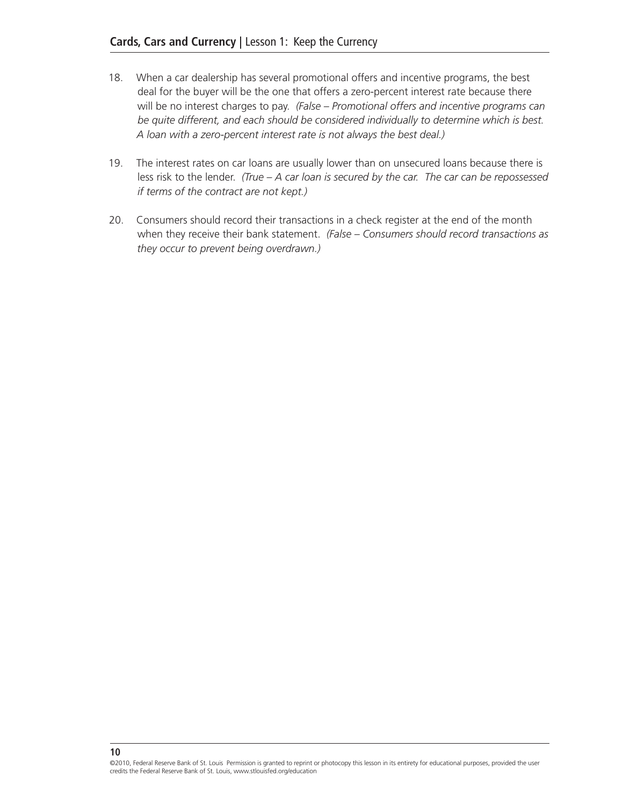- 18. When a car dealership has several promotional offers and incentive programs, the best deal for the buyer will be the one that offers a zero-percent interest rate because there will be no interest charges to pay. *(False – Promotional offers and incentive programs can be quite different, and each should be considered individually to determine which is best. A loan with a zero-percent interest rate is not always the best deal.)*
- 19. The interest rates on car loans are usually lower than on unsecured loans because there is less risk to the lender. *(True – A car loan is secured by the car. The car can be repossessed if terms of the contract are not kept.)*
- 20. Consumers should record their transactions in a check register at the end of the month when they receive their bank statement. *(False – Consumers should record transactions as they occur to prevent being overdrawn.)*

©2010, Federal Reserve Bank of St. Louis Permission is granted to reprint or photocopy this lesson in its entirety for educational purposes, provided the user credits the Federal Reserve Bank of St. Louis, www.stlouisfed.org/education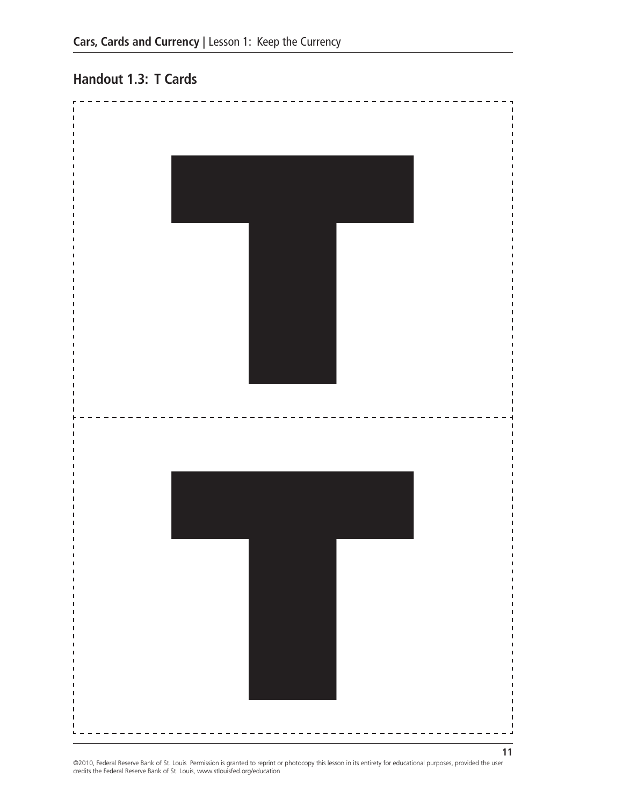# **Handout 1.3: T Cards**



©2010, Federal Reserve Bank of St. Louis Permission is granted to reprint or photocopy this lesson in its entirety for educational purposes, provided the user<br>credits the Federal Reserve Bank of St. Louis, www.stlouisfed.o